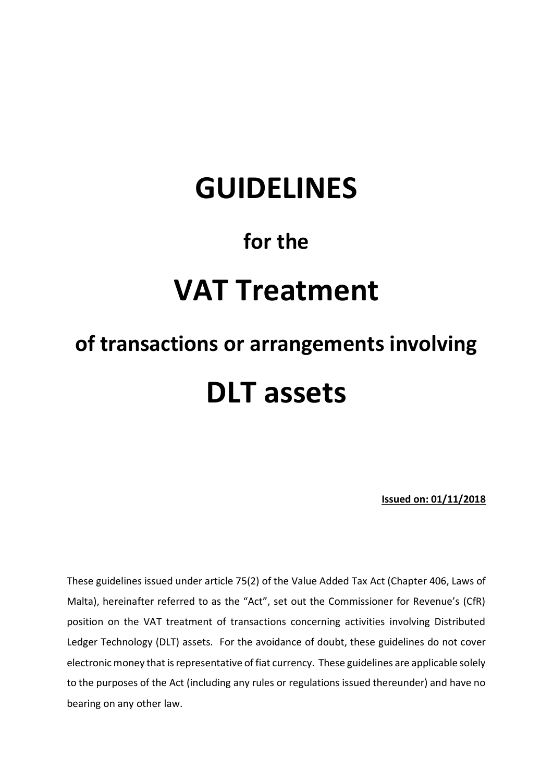# **GUIDELINES**

# **for the**

# **VAT Treatment**

# **of transactions or arrangements involving DLT assets**

**Issued on: 01/11/2018**

These guidelines issued under article 75(2) of the Value Added Tax Act (Chapter 406, Laws of Malta), hereinafter referred to as the "Act", set out the Commissioner for Revenue's (CfR) position on the VAT treatment of transactions concerning activities involving Distributed Ledger Technology (DLT) assets. For the avoidance of doubt, these guidelines do not cover electronic money that is representative of fiat currency. These guidelines are applicable solely to the purposes of the Act (including any rules or regulations issued thereunder) and have no bearing on any other law.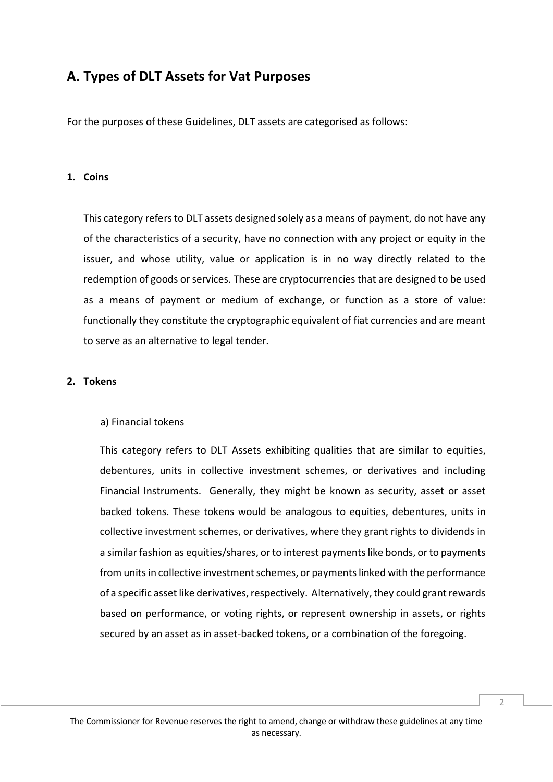## **A. Types of DLT Assets for Vat Purposes**

For the purposes of these Guidelines, DLT assets are categorised as follows:

#### **1. Coins**

This category refers to DLT assets designed solely as a means of payment, do not have any of the characteristics of a security, have no connection with any project or equity in the issuer, and whose utility, value or application is in no way directly related to the redemption of goods or services. These are cryptocurrencies that are designed to be used as a means of payment or medium of exchange, or function as a store of value: functionally they constitute the cryptographic equivalent of fiat currencies and are meant to serve as an alternative to legal tender.

#### **2. Tokens**

#### a) Financial tokens

This category refers to DLT Assets exhibiting qualities that are similar to equities, debentures, units in collective investment schemes, or derivatives and including Financial Instruments. Generally, they might be known as security, asset or asset backed tokens. These tokens would be analogous to equities, debentures, units in collective investment schemes, or derivatives, where they grant rights to dividends in a similar fashion as equities/shares, or to interest payments like bonds, or to payments from units in collective investment schemes, or payments linked with the performance of a specific asset like derivatives, respectively. Alternatively, they could grant rewards based on performance, or voting rights, or represent ownership in assets, or rights secured by an asset as in asset-backed tokens, or a combination of the foregoing.

 $\overline{\mathcal{L}}$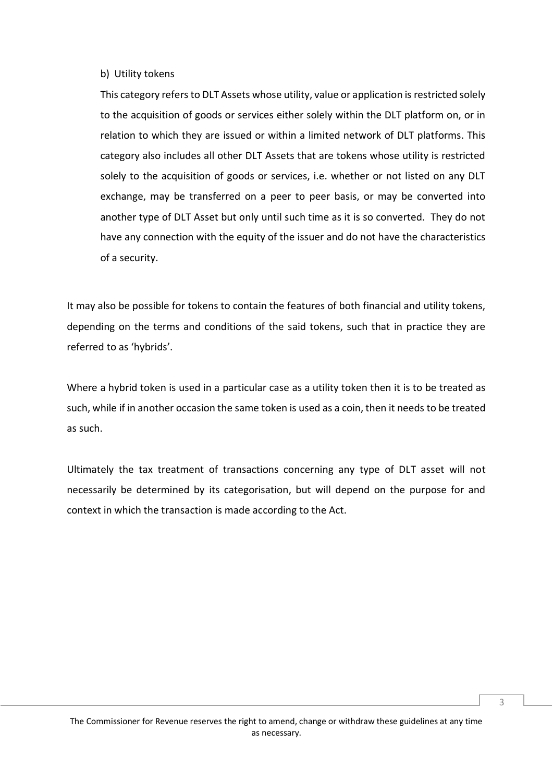#### b) Utility tokens

This category refers to DLT Assets whose utility, value or application is restricted solely to the acquisition of goods or services either solely within the DLT platform on, or in relation to which they are issued or within a limited network of DLT platforms. This category also includes all other DLT Assets that are tokens whose utility is restricted solely to the acquisition of goods or services, i.e. whether or not listed on any DLT exchange, may be transferred on a peer to peer basis, or may be converted into another type of DLT Asset but only until such time as it is so converted. They do not have any connection with the equity of the issuer and do not have the characteristics of a security.

It may also be possible for tokens to contain the features of both financial and utility tokens, depending on the terms and conditions of the said tokens, such that in practice they are referred to as 'hybrids'.

Where a hybrid token is used in a particular case as a utility token then it is to be treated as such, while if in another occasion the same token is used as a coin, then it needs to be treated as such.

Ultimately the tax treatment of transactions concerning any type of DLT asset will not necessarily be determined by its categorisation, but will depend on the purpose for and context in which the transaction is made according to the Act.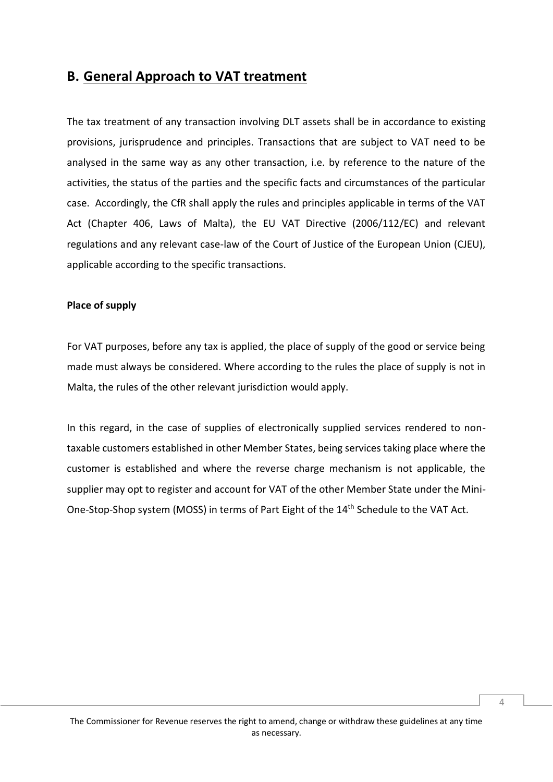## **B. General Approach to VAT treatment**

The tax treatment of any transaction involving DLT assets shall be in accordance to existing provisions, jurisprudence and principles. Transactions that are subject to VAT need to be analysed in the same way as any other transaction, i.e. by reference to the nature of the activities, the status of the parties and the specific facts and circumstances of the particular case. Accordingly, the CfR shall apply the rules and principles applicable in terms of the VAT Act (Chapter 406, Laws of Malta), the EU VAT Directive (2006/112/EC) and relevant regulations and any relevant case-law of the Court of Justice of the European Union (CJEU), applicable according to the specific transactions.

#### **Place of supply**

For VAT purposes, before any tax is applied, the place of supply of the good or service being made must always be considered. Where according to the rules the place of supply is not in Malta, the rules of the other relevant jurisdiction would apply.

In this regard, in the case of supplies of electronically supplied services rendered to nontaxable customers established in other Member States, being services taking place where the customer is established and where the reverse charge mechanism is not applicable, the supplier may opt to register and account for VAT of the other Member State under the Mini-One-Stop-Shop system (MOSS) in terms of Part Eight of the 14<sup>th</sup> Schedule to the VAT Act.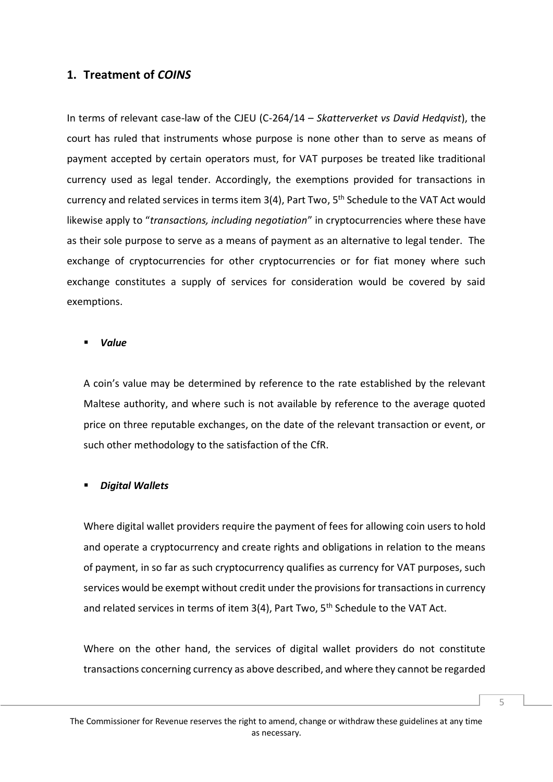#### **1. Treatment of** *COINS*

In terms of relevant case-law of the CJEU (C-264/14 – *Skatterverket vs David Hedqvist*), the court has ruled that instruments whose purpose is none other than to serve as means of payment accepted by certain operators must, for VAT purposes be treated like traditional currency used as legal tender. Accordingly, the exemptions provided for transactions in currency and related services in terms item 3(4), Part Two, 5<sup>th</sup> Schedule to the VAT Act would likewise apply to "*transactions, including negotiation*" in cryptocurrencies where these have as their sole purpose to serve as a means of payment as an alternative to legal tender. The exchange of cryptocurrencies for other cryptocurrencies or for fiat money where such exchange constitutes a supply of services for consideration would be covered by said exemptions.

#### *Value*

A coin's value may be determined by reference to the rate established by the relevant Maltese authority, and where such is not available by reference to the average quoted price on three reputable exchanges, on the date of the relevant transaction or event, or such other methodology to the satisfaction of the CfR.

#### *Digital Wallets*

Where digital wallet providers require the payment of fees for allowing coin users to hold and operate a cryptocurrency and create rights and obligations in relation to the means of payment, in so far as such cryptocurrency qualifies as currency for VAT purposes, such services would be exempt without credit under the provisions for transactions in currency and related services in terms of item 3(4), Part Two, 5<sup>th</sup> Schedule to the VAT Act.

Where on the other hand, the services of digital wallet providers do not constitute transactions concerning currency as above described, and where they cannot be regarded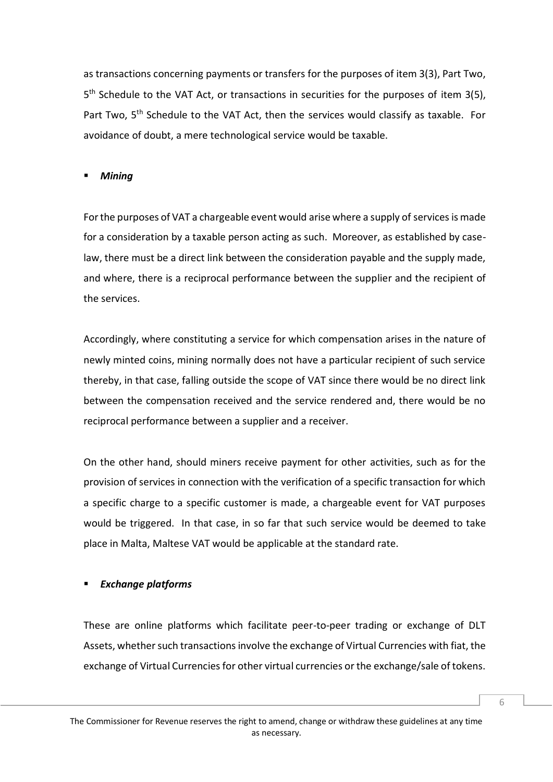as transactions concerning payments or transfers for the purposes of item 3(3), Part Two, 5<sup>th</sup> Schedule to the VAT Act, or transactions in securities for the purposes of item 3(5), Part Two, 5<sup>th</sup> Schedule to the VAT Act, then the services would classify as taxable. For avoidance of doubt, a mere technological service would be taxable.

#### *Mining*

For the purposes of VAT a chargeable event would arise where a supply of services is made for a consideration by a taxable person acting as such. Moreover, as established by caselaw, there must be a direct link between the consideration payable and the supply made, and where, there is a reciprocal performance between the supplier and the recipient of the services.

Accordingly, where constituting a service for which compensation arises in the nature of newly minted coins, mining normally does not have a particular recipient of such service thereby, in that case, falling outside the scope of VAT since there would be no direct link between the compensation received and the service rendered and, there would be no reciprocal performance between a supplier and a receiver.

On the other hand, should miners receive payment for other activities, such as for the provision of services in connection with the verification of a specific transaction for which a specific charge to a specific customer is made, a chargeable event for VAT purposes would be triggered. In that case, in so far that such service would be deemed to take place in Malta, Maltese VAT would be applicable at the standard rate.

#### *Exchange platforms*

These are online platforms which facilitate peer-to-peer trading or exchange of DLT Assets, whether such transactions involve the exchange of Virtual Currencies with fiat, the exchange of Virtual Currencies for other virtual currencies or the exchange/sale of tokens.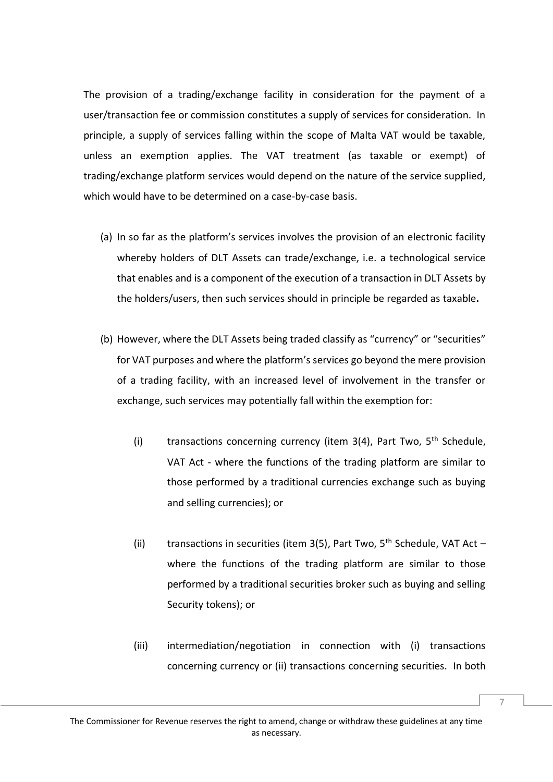The provision of a trading/exchange facility in consideration for the payment of a user/transaction fee or commission constitutes a supply of services for consideration. In principle, a supply of services falling within the scope of Malta VAT would be taxable, unless an exemption applies. The VAT treatment (as taxable or exempt) of trading/exchange platform services would depend on the nature of the service supplied, which would have to be determined on a case-by-case basis.

- (a) In so far as the platform's services involves the provision of an electronic facility whereby holders of DLT Assets can trade/exchange, i.e. a technological service that enables and is a component of the execution of a transaction in DLT Assets by the holders/users, then such services should in principle be regarded as taxable**.**
- (b) However, where the DLT Assets being traded classify as "currency" or "securities" for VAT purposes and where the platform's services go beyond the mere provision of a trading facility, with an increased level of involvement in the transfer or exchange, such services may potentially fall within the exemption for:
	- (i) transactions concerning currency (item  $3(4)$ , Part Two,  $5<sup>th</sup>$  Schedule, VAT Act - where the functions of the trading platform are similar to those performed by a traditional currencies exchange such as buying and selling currencies); or
	- (ii) transactions in securities (item 3(5), Part Two,  $5<sup>th</sup>$  Schedule, VAT Act where the functions of the trading platform are similar to those performed by a traditional securities broker such as buying and selling Security tokens); or
	- (iii) intermediation/negotiation in connection with (i) transactions concerning currency or (ii) transactions concerning securities. In both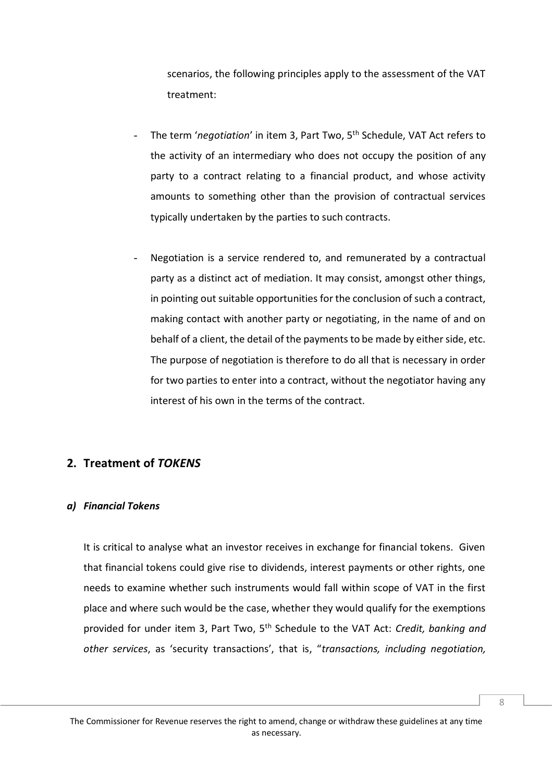scenarios, the following principles apply to the assessment of the VAT treatment:

- The term 'negotiation' in item 3, Part Two, 5<sup>th</sup> Schedule, VAT Act refers to the activity of an intermediary who does not occupy the position of any party to a contract relating to a financial product, and whose activity amounts to something other than the provision of contractual services typically undertaken by the parties to such contracts.
- Negotiation is a service rendered to, and remunerated by a contractual party as a distinct act of mediation. It may consist, amongst other things, in pointing out suitable opportunities for the conclusion of such a contract, making contact with another party or negotiating, in the name of and on behalf of a client, the detail of the payments to be made by either side, etc. The purpose of negotiation is therefore to do all that is necessary in order for two parties to enter into a contract, without the negotiator having any interest of his own in the terms of the contract.

### **2. Treatment of** *TOKENS*

#### *a) Financial Tokens*

It is critical to analyse what an investor receives in exchange for financial tokens. Given that financial tokens could give rise to dividends, interest payments or other rights, one needs to examine whether such instruments would fall within scope of VAT in the first place and where such would be the case, whether they would qualify for the exemptions provided for under item 3, Part Two, 5th Schedule to the VAT Act: *Credit, banking and other services*, as 'security transactions', that is, "*transactions, including negotiation,*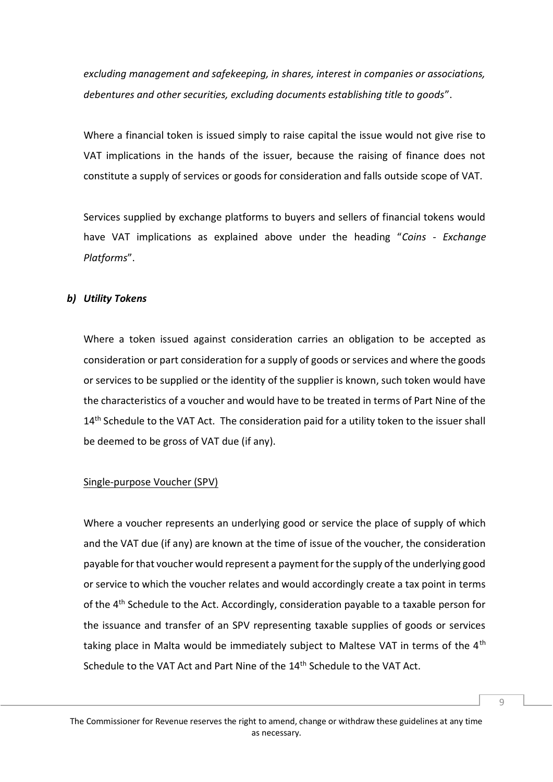*excluding management and safekeeping, in shares, interest in companies or associations, debentures and other securities, excluding documents establishing title to goods*".

Where a financial token is issued simply to raise capital the issue would not give rise to VAT implications in the hands of the issuer, because the raising of finance does not constitute a supply of services or goods for consideration and falls outside scope of VAT.

Services supplied by exchange platforms to buyers and sellers of financial tokens would have VAT implications as explained above under the heading "*Coins - Exchange Platforms*".

#### *b) Utility Tokens*

Where a token issued against consideration carries an obligation to be accepted as consideration or part consideration for a supply of goods or services and where the goods or services to be supplied or the identity of the supplier is known, such token would have the characteristics of a voucher and would have to be treated in terms of Part Nine of the 14<sup>th</sup> Schedule to the VAT Act. The consideration paid for a utility token to the issuer shall be deemed to be gross of VAT due (if any).

#### Single-purpose Voucher (SPV)

Where a voucher represents an underlying good or service the place of supply of which and the VAT due (if any) are known at the time of issue of the voucher, the consideration payable for that voucher would represent a payment for the supply of the underlying good or service to which the voucher relates and would accordingly create a tax point in terms of the 4th Schedule to the Act. Accordingly, consideration payable to a taxable person for the issuance and transfer of an SPV representing taxable supplies of goods or services taking place in Malta would be immediately subject to Maltese VAT in terms of the 4<sup>th</sup> Schedule to the VAT Act and Part Nine of the 14<sup>th</sup> Schedule to the VAT Act.